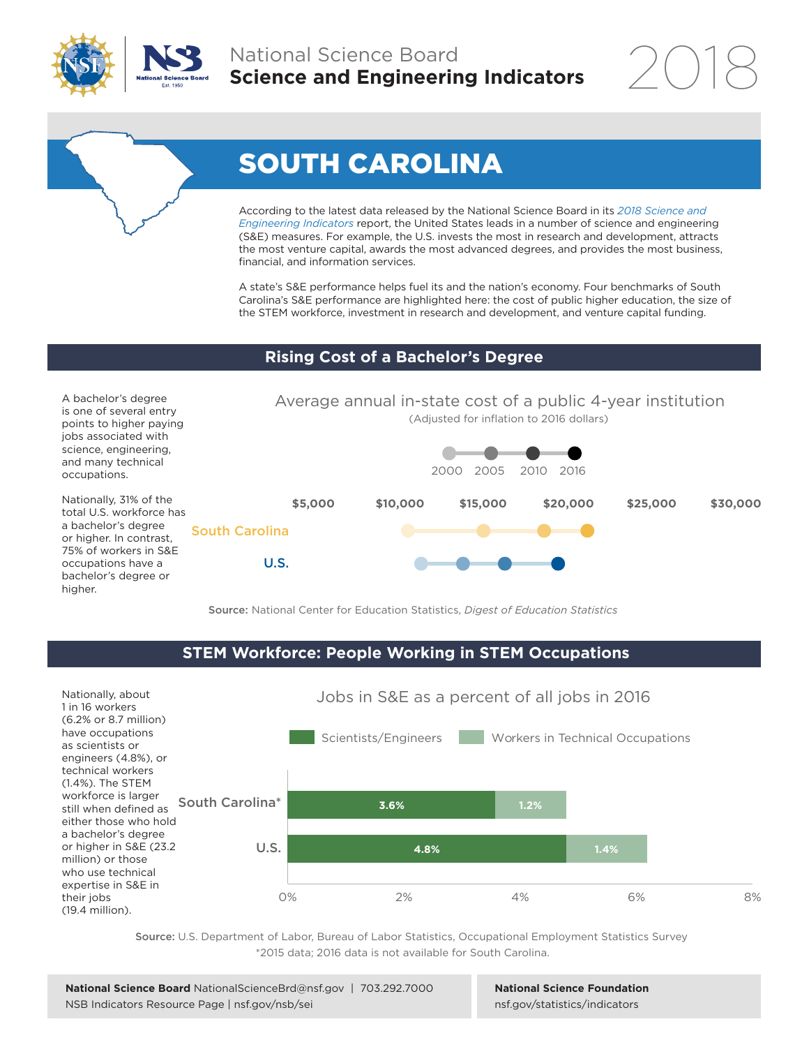



According to the latest data released by the National Science Board in its *[2018 Science and](https://nsf.gov/statistics/indicators)  [Engineering Indicators](https://nsf.gov/statistics/indicators)* report, the United States leads in a number of science and engineering (S&E) measures. For example, the U.S. invests the most in research and development, attracts the most venture capital, awards the most advanced degrees, and provides the most business, financial, and information services.

A state's S&E performance helps fuel its and the nation's economy. Four benchmarks of South Carolina's S&E performance are highlighted here: the cost of public higher education, the size of the STEM workforce, investment in research and development, and venture capital funding.

## **Rising Cost of a Bachelor's Degree**

A bachelor's degree is one of several entry points to higher paying jobs associated with science, engineering, and many technical occupations.

Nationally, 31% of the total U.S. workforce has a bachelor's degree or higher. In contrast, 75% of workers in S&E occupations have a bachelor's degree or higher.



Source: National Center for Education Statistics, *Digest of Education Statistics*

# **STEM Workforce: People Working in STEM Occupations**



Source: U.S. Department of Labor, Bureau of Labor Statistics, Occupational Employment Statistics Survey \*2015 data; 2016 data is not available for South Carolina.

**National Science Foundation** [nsf.gov/statistics/indicators](http://nsf.gov/statistics/indicators)